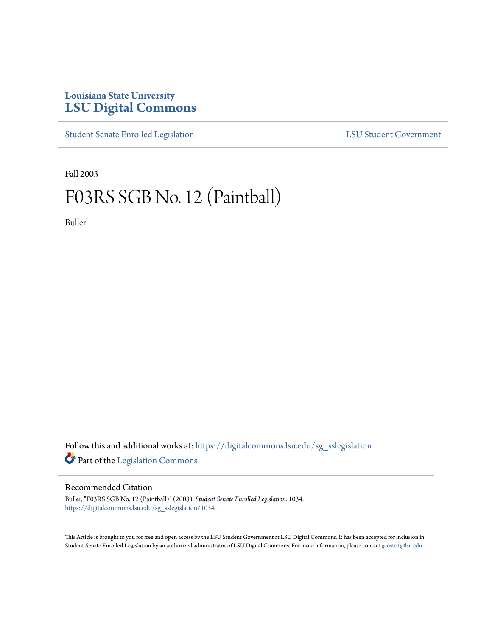## **Louisiana State University [LSU Digital Commons](https://digitalcommons.lsu.edu?utm_source=digitalcommons.lsu.edu%2Fsg_sslegislation%2F1034&utm_medium=PDF&utm_campaign=PDFCoverPages)**

[Student Senate Enrolled Legislation](https://digitalcommons.lsu.edu/sg_sslegislation?utm_source=digitalcommons.lsu.edu%2Fsg_sslegislation%2F1034&utm_medium=PDF&utm_campaign=PDFCoverPages) [LSU Student Government](https://digitalcommons.lsu.edu/sg?utm_source=digitalcommons.lsu.edu%2Fsg_sslegislation%2F1034&utm_medium=PDF&utm_campaign=PDFCoverPages)

Fall 2003

# F03RS SGB No. 12 (Paintball)

Buller

Follow this and additional works at: [https://digitalcommons.lsu.edu/sg\\_sslegislation](https://digitalcommons.lsu.edu/sg_sslegislation?utm_source=digitalcommons.lsu.edu%2Fsg_sslegislation%2F1034&utm_medium=PDF&utm_campaign=PDFCoverPages) Part of the [Legislation Commons](http://network.bepress.com/hgg/discipline/859?utm_source=digitalcommons.lsu.edu%2Fsg_sslegislation%2F1034&utm_medium=PDF&utm_campaign=PDFCoverPages)

### Recommended Citation

Buller, "F03RS SGB No. 12 (Paintball)" (2003). *Student Senate Enrolled Legislation*. 1034. [https://digitalcommons.lsu.edu/sg\\_sslegislation/1034](https://digitalcommons.lsu.edu/sg_sslegislation/1034?utm_source=digitalcommons.lsu.edu%2Fsg_sslegislation%2F1034&utm_medium=PDF&utm_campaign=PDFCoverPages)

This Article is brought to you for free and open access by the LSU Student Government at LSU Digital Commons. It has been accepted for inclusion in Student Senate Enrolled Legislation by an authorized administrator of LSU Digital Commons. For more information, please contact [gcoste1@lsu.edu.](mailto:gcoste1@lsu.edu)